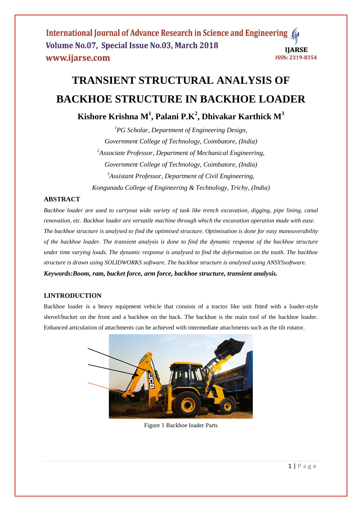# **TRANSIENT STRUCTURAL ANALYSIS OF BACKHOE STRUCTURE IN BACKHOE LOADER**

**Kishore Krishna M<sup>1</sup> , Palani P.K<sup>2</sup> , Dhivakar Karthick M<sup>3</sup>**

*<sup>1</sup>PG Scholar, Department of Engineering Design, Government College of Technology, Coimbatore, (India) <sup>2</sup>Associate Professor, Department of Mechanical Engineering, Government College of Technology, Coimbatore, (India) <sup>3</sup>Assistant Professor, Department of Civil Engineering, Kongunadu College of Engineering & Technology, Trichy, (India)*

# **ABSTRACT**

*Backhoe loader are used to carryout wide variety of task like trench excavation, digging, pipe lining, canal renovation, etc. Backhoe loader are versatile machine through which the excavation operation made with ease. The backhoe structure is analysed to find the optimised structure. Optimisation is done for easy maneuverability of the backhoe loader. The transient analysis is done to find the dynamic response of the backhoe structure under time varying loads. The dynamic response is analysed to find the deformation on the tooth. The backhoe structure is drawn using SOLIDWORKS software. The backhoe structure is analysed using ANSYSsoftware. Keywords:Boom, ram, bucket force, arm force, backhoe structure, transient analysis.*

# **I.INTRODUCTION**

Backhoe loader is a heavy equipment vehicle that consists of a tractor like unit fitted with a loader-style shovel/bucket on the front and a backhoe on the back. The backhoe is the main tool of the backhoe loader. Enhanced articulation of attachments can be achieved with intermediate attachments such as the tilt rotator.



Figure 1 Backhoe loader Parts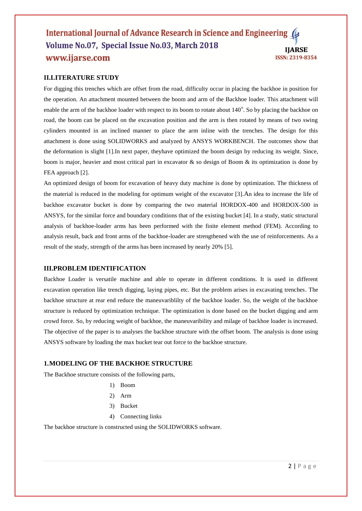## **II.LITERATURE STUDY**

For digging this trenches which are offset from the road, difficulty occur in placing the backhoe in position for the operation. An attachment mounted between the boom and arm of the Backhoe loader. This attachment will enable the arm of the backhoe loader with respect to its boom to rotate about 140°. So by placing the backhoe on road, the boom can be placed on the excavation position and the arm is then rotated by means of two swing cylinders mounted in an inclined manner to place the arm inline with the trenches. The design for this attachment is done using SOLIDWORKS and analyzed by ANSYS WORKBENCH. The outcomes show that the deformation is slight [1].In next paper, theyhave optimized the boom design by reducing its weight. Since, boom is major, heavier and most critical part in excavator & so design of Boom & its optimization is done by FEA approach [2].

An optimized design of boom for excavation of heavy duty machine is done by optimization. The thickness of the material is reduced in the modeling for optimum weight of the excavator [3].An idea to increase the life of backhoe excavator bucket is done by comparing the two material HORDOX-400 and HORDOX-500 in ANSYS, for the similar force and boundary conditions that of the existing bucket [4]. In a study, static structural analysis of backhoe-loader arms has been performed with the finite element method (FEM). According to analysis result, back and front arms of the backhoe-loader are strengthened with the use of reinforcements. As a result of the study, strength of the arms has been increased by nearly 20% [5].

### **III.PROBLEM IDENTIFICATION**

Backhoe Loader is versatile machine and able to operate in different conditions. It is used in different excavation operation like trench digging, laying pipes, etc. But the problem arises in excavating trenches. The backhoe structure at rear end reduce the maneuvariblilty of the backhoe loader. So, the weight of the backhoe structure is reduced by optimization technique. The optimization is done based on the bucket digging and arm crowd force. So, by reducing weight of backhoe, the maneuvaribility and milage of backhoe loader is increased. The objective of the paper is to analyses the backhoe structure with the offset boom. The analysis is done using ANSYS software by loading the max bucket tear out force to the backhoe structure.

## **1.MODELING OF THE BACKHOE STRUCTURE**

The Backhoe structure consists of the following parts,

- 1) Boom
- 2) Arm
- 3) Bucket
- 4) Connecting links

The backhoe structure is constructed using the SOLIDWORKS software.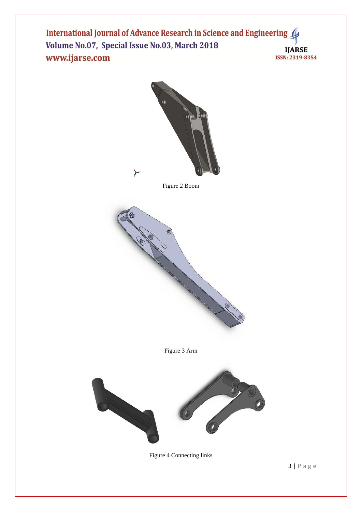

Figure 2 Boom



Figure 3 Arm



Figure 4 Connecting links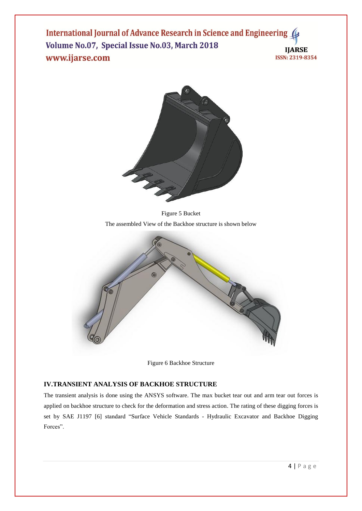

Figure 5 Bucket The assembled View of the Backhoe structure is shown below



Figure 6 Backhoe Structure

# **IV.TRANSIENT ANALYSIS OF BACKHOE STRUCTURE**

The transient analysis is done using the ANSYS software. The max bucket tear out and arm tear out forces is applied on backhoe structure to check for the deformation and stress action. The rating of these digging forces is set by SAE J1197 [6] standard "Surface Vehicle Standards - Hydraulic Excavator and Backhoe Digging Forces".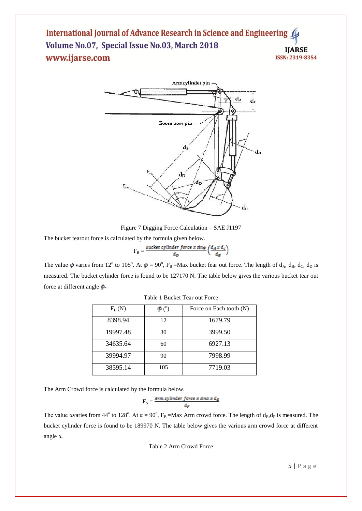

Figure 7 Digging Force Calculation – SAE J1197

The bucket tearout force is calculated by the formula given below.

$$
F_B = \frac{Bucket \ cylinder \ force \ x \ sin\phi}{d_D} \left(\frac{d_A x \ d_c}{d_B}\right)
$$

The value  $\phi$  varies from 12<sup>o</sup> to 105<sup>o</sup>. At  $\phi = 90^\circ$ , F<sub>B</sub> =Max bucket fear out force. The length of d<sub>A</sub>, d<sub>B</sub>, d<sub>C</sub>, d<sub>D</sub> is measured. The bucket cylinder force is found to be 127170 N. The table below gives the various bucket tear out force at different angle  $\phi$ .

| $F_B(N)$ |     | Force on Each tooth (N) |
|----------|-----|-------------------------|
| 8398.94  | 12  | 1679.79                 |
| 19997.48 | 30  | 3999.50                 |
| 34635.64 | 60  | 6927.13                 |
| 39994.97 | 90  | 7998.99                 |
| 38595.14 | 105 | 7719.03                 |

Table 1 Bucket Tear out Force

The Arm Crowd force is calculated by the formula below.

$$
F_S = \frac{Arm\ cylinder\ force\ x\ sin\alpha\ x\ d_E}{d_F}
$$

The value avaries from 44<sup>o</sup> to 128<sup>o</sup>. At  $\alpha = 90^\circ$ , F<sub>B</sub>=Max Arm crowd force. The length of  $d_E, d_F$  is measured. The bucket cylinder force is found to be 189970 N. The table below gives the various arm crowd force at different angle α.

Table 2 Arm Crowd Force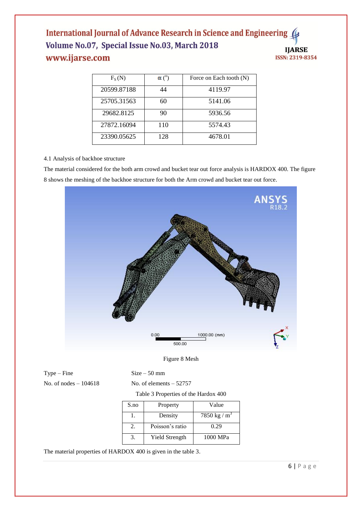| $F_S(N)$    | $\alpha$ ( <sup>o</sup> ) | Force on Each tooth (N) |
|-------------|---------------------------|-------------------------|
| 20599.87188 | 44                        | 4119.97                 |
| 25705.31563 | 60                        | 5141.06                 |
| 29682.8125  | 90                        | 5936.56                 |
| 27872.16094 | 110                       | 5574.43                 |
| 23390.05625 | 128                       | 4678.01                 |

### 4.1 Analysis of backhoe structure

The material considered for the both arm crowd and bucket tear out force analysis is HARDOX 400. The figure 8 shows the meshing of the backhoe structure for both the Arm crowd and bucket tear out force.



### Figure 8 Mesh

 $Type - Fine$  Size – 50 mm

No. of nodes  $-104618$  No. of elements  $-52757$ 

|  | Table 3 Properties of the Hardox 400 |  |  |  |
|--|--------------------------------------|--|--|--|
|--|--------------------------------------|--|--|--|

| S.no | Property        | Value           |
|------|-----------------|-----------------|
|      | Density         | 7850 kg / $m^3$ |
|      | Poisson's ratio | 0.29            |
|      | Yield Strength  | 1000 MPa        |

The material properties of HARDOX 400 is given in the table 3.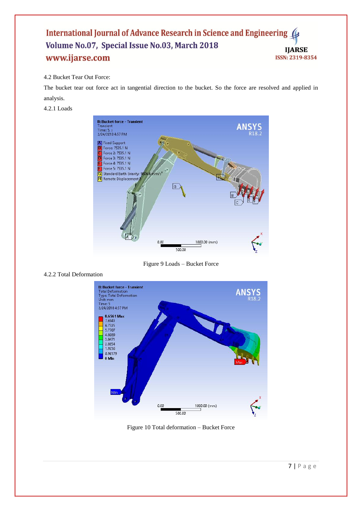## 4.2 Bucket Tear Out Force:

The bucket tear out force act in tangential direction to the bucket. So the force are resolved and applied in analysis.

#### 4.2.1 Loads



Figure 9 Loads – Bucket Force



4.2.2 Total Deformation

Figure 10 Total deformation – Bucket Force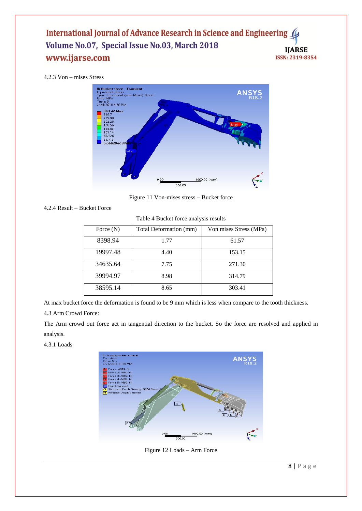## 4.2.3 Von – mises Stress



Figure 11 Von-mises stress – Bucket force

```
4.2.4 Result – Bucket Force
```

| Table 4 Bucket force analysis results |  |  |  |  |  |  |
|---------------------------------------|--|--|--|--|--|--|
|---------------------------------------|--|--|--|--|--|--|

| Force $(N)$ | Total Deformation (mm) | Von mises Stress (MPa) |
|-------------|------------------------|------------------------|
| 8398.94     | 1.77                   | 61.57                  |
| 19997.48    | 4.40                   | 153.15                 |
| 34635.64    | 7.75                   | 271.30                 |
| 39994.97    | 8.98                   | 314.79                 |
| 38595.14    | 8.65                   | 303.41                 |

At max bucket force the deformation is found to be 9 mm which is less when compare to the tooth thickness.

#### 4.3 Arm Crowd Force:

The Arm crowd out force act in tangential direction to the bucket. So the force are resolved and applied in analysis.

4.3.1 Loads



Figure 12 Loads – Arm Force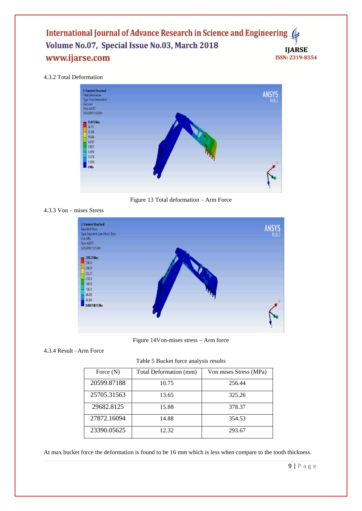#### 4.3.2 Total Deformation



Figure 13 Total deformation – Arm Force

#### 4.3.3 Von – mises Stress



Figure 14Von-mises stress – Arm force

#### 4.3.4 Result –Arm Force

Table 5 Bucket force analysis results

| Force $(N)$ | Total Deformation (mm) | Von mises Stress (MPa) |
|-------------|------------------------|------------------------|
| 20599.87188 | 10.75                  | 256.44                 |
| 25705.31563 | 13.65                  | 325.26                 |
| 29682.8125  | 15.88                  | 378.37                 |
| 27872.16094 | 14.88                  | 354.53                 |
| 23390.05625 | 12.32                  | 293.67                 |

At max bucket force the deformation is found to be 16 mm which is less when compare to the tooth thickness.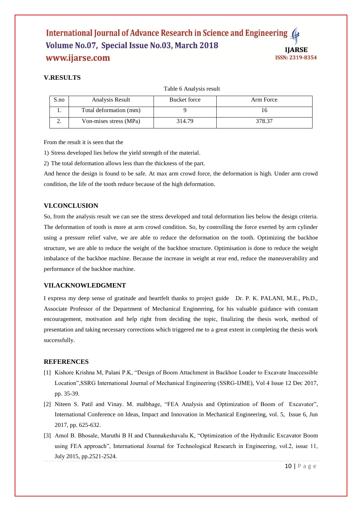# **V.RESULTS**

Table 6 Analysis result

| S.no | Analysis Result        | Bucket force | Arm Force |
|------|------------------------|--------------|-----------|
|      | Total deformation (mm) |              |           |
|      | Von-mises stress (MPa) | 314.79       | 378.37    |

From the result it is seen that the

1) Stress developed lies below the yield strength of the material.

2) The total deformation allows less than the thickness of the part.

And hence the design is found to be safe. At max arm crowd force, the deformation is high. Under arm crowd condition, the life of the tooth reduce because of the high deformation.

# **VI.CONCLUSION**

So, from the analysis result we can see the stress developed and total deformation lies below the design criteria. The deformation of tooth is more at arm crowd condition. So, by controlling the force exerted by arm cylinder using a pressure relief valve, we are able to reduce the deformation on the tooth. Optimizing the backhoe structure, we are able to reduce the weight of the backhoe structure. Optimisation is done to reduce the weight imbalance of the backhoe machine. Because the increase in weight at rear end, reduce the maneuverability and performance of the backhoe machine.

# **VII.ACKNOWLEDGMENT**

I express my deep sense of gratitude and heartfelt thanks to project guide Dr. P. K. PALANI, M.E., Ph.D., Associate Professor of the Department of Mechanical Engineering, for his valuable guidance with constant encouragement, motivation and help right from deciding the topic, finalizing the thesis work, method of presentation and taking necessary corrections which triggered me to a great extent in completing the thesis work successfully.

# **REFERENCES**

- [1] Kishore Krishna M, Palani P.K, "Design of Boom Attachment in Backhoe Loader to Excavate Inaccessible Location",SSRG International Journal of Mechanical Engineering (SSRG-IJME), Vol 4 Issue 12 Dec 2017, pp. 35-39.
- [2] Niteen S. Patil and Vinay. M. malbhage, "FEA Analysis and Optimization of Boom of Excavator", International Conference on Ideas, Impact and Innovation in Mechanical Engineering, vol. 5, Issue 6, Jun 2017, pp. 625-632.
- [3] Amol B. Bhosale, Maruthi B H and Channakeshavalu K, "Optimization of the Hydraulic Excavator Boom using FEA approach", International Journal for Technological Research in Engineering, vol.2, issue 11, July 2015, pp.2521-2524.